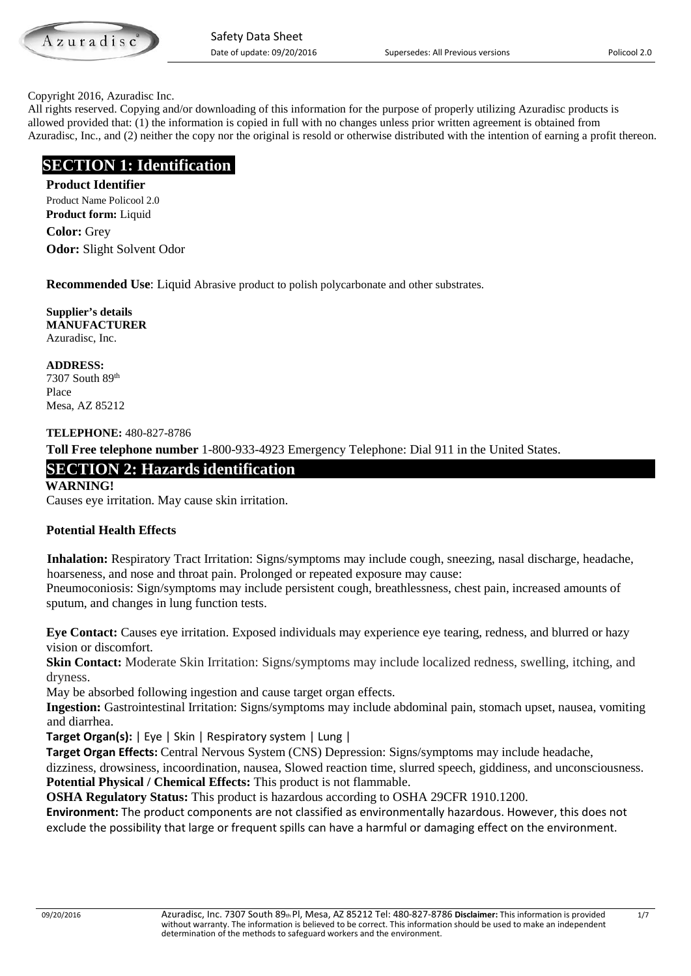Azuradiso

#### Copyright 2016, Azuradisc Inc.

All rights reserved. Copying and/or downloading of this information for the purpose of properly utilizing Azuradisc products is allowed provided that: (1) the information is copied in full with no changes unless prior written agreement is obtained from Azuradisc, Inc., and (2) neither the copy nor the original is resold or otherwise distributed with the intention of earning a profit thereon.

# **SECTION 1: Identification**

**Product Identifier** Product Name Policool 2.0 **Product form:** Liquid **Color:** Grey

**Odor:** Slight Solvent Odor

**Recommended Use**: Liquid Abrasive product to polish polycarbonate and other substrates.

**Supplier's details MANUFACTURER** Azuradisc, Inc.

**ADDRESS:** 7307 South 89th Place Mesa, AZ 85212

#### **TELEPHONE:** 480-827-8786

**Toll Free telephone number** 1-800-933-4923 Emergency Telephone: Dial 911 in the United States.

# **SECTION 2: Hazards identification**

**WARNING!** 

Causes eye irritation. May cause skin irritation.

#### **Potential Health Effects**

 **Inhalation:** Respiratory Tract Irritation: Signs/symptoms may include cough, sneezing, nasal discharge, headache, hoarseness, and nose and throat pain. Prolonged or repeated exposure may cause:

Pneumoconiosis: Sign/symptoms may include persistent cough, breathlessness, chest pain, increased amounts of sputum, and changes in lung function tests.

**Eye Contact:** Causes eye irritation. Exposed individuals may experience eye tearing, redness, and blurred or hazy vision or discomfort.

**Skin Contact:** Moderate Skin Irritation: Signs/symptoms may include localized redness, swelling, itching, and dryness.

May be absorbed following ingestion and cause target organ effects.

**Ingestion:** Gastrointestinal Irritation: Signs/symptoms may include abdominal pain, stomach upset, nausea, vomiting and diarrhea.

**Target Organ(s):** | Eye | Skin | Respiratory system | Lung |

**Target Organ Effects:** Central Nervous System (CNS) Depression: Signs/symptoms may include headache,

dizziness, drowsiness, incoordination, nausea, Slowed reaction time, slurred speech, giddiness, and unconsciousness. **Potential Physical / Chemical Effects:** This product is not flammable.

**OSHA Regulatory Status:** This product is hazardous according to OSHA 29CFR 1910.1200.

**Environment:** The product components are not classified as environmentally hazardous. However, this does not exclude the possibility that large or frequent spills can have a harmful or damaging effect on the environment.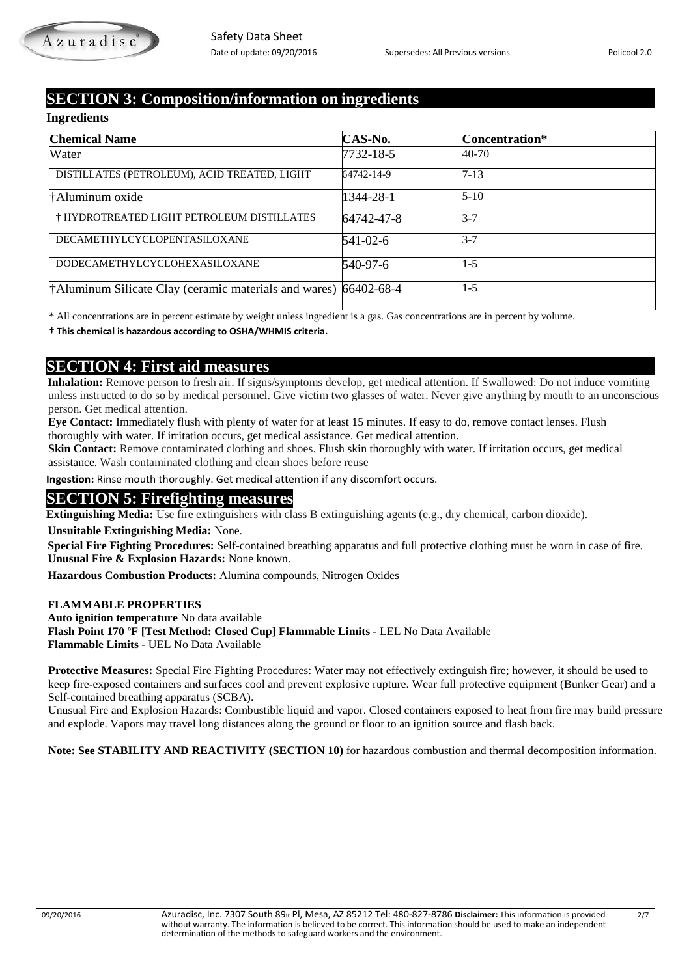# **SECTION 3: Composition/information on ingredients**

#### **Ingredients**

| <b>Chemical Name</b>                                             | CAS-No.    | Concentration* |
|------------------------------------------------------------------|------------|----------------|
| Water                                                            | 7732-18-5  | 40-70          |
| DISTILLATES (PETROLEUM), ACID TREATED, LIGHT                     | 64742-14-9 | $7 - 13$       |
| †Aluminum oxide                                                  | 1344-28-1  | $5 - 10$       |
| † HYDROTREATED LIGHT PETROLEUM DISTILLATES                       | 64742-47-8 | $3-7$          |
| DECAMETHYLCYCLOPENTASILOXANE                                     | 541-02-6   | $3-7$          |
| DODECAMETHYLCYCLOHEXASILOXANE                                    | 540-97-6   | $1-5$          |
| †Aluminum Silicate Clay (ceramic materials and wares) 66402-68-4 |            | $1-5$          |

\* All concentrations are in percent estimate by weight unless ingredient is a gas. Gas concentrations are in percent by volume.

 **† This chemical is hazardous according to OSHA/WHMIS criteria.**

**SECTION 4: First aid measures**<br>**Inhalation:** Remove person to fresh air. If signs/symptoms develop, get medical attention. If Swallowed: Do not induce vomiting unless instructed to do so by medical personnel. Give victim two glasses of water. Never give anything by mouth to an unconscious person. Get medical attention.

 **Eye Contact:** Immediately flush with plenty of water for at least 15 minutes. If easy to do, remove contact lenses. Flush thoroughly with water. If irritation occurs, get medical assistance. Get medical attention.

**Skin Contact:** Remove contaminated clothing and shoes. Flush skin thoroughly with water. If irritation occurs, get medical assistance. Wash contaminated clothing and clean shoes before reuse

 **Ingestion:** Rinse mouth thoroughly. Get medical attention if any discomfort occurs.

# **SECTION 5: Firefighting measures**

**Extinguishing Media:** Use fire extinguishers with class B extinguishing agents (e.g., dry chemical, carbon dioxide).

**Unsuitable Extinguishing Media:** None.

 **Special Fire Fighting Procedures:** Self-contained breathing apparatus and full protective clothing must be worn in case of fire.  **Unusual Fire & Explosion Hazards:** None known.

 **Hazardous Combustion Products:** Alumina compounds, Nitrogen Oxides

#### **FLAMMABLE PROPERTIES**

 **Auto ignition temperature** No data available  **Flash Point 170 ºF [Test Method: Closed Cup] Flammable Limits -** LEL No Data Available  **Flammable Limits -** UEL No Data Available

 **Protective Measures:** Special Fire Fighting Procedures: Water may not effectively extinguish fire; however, it should be used to keep fire-exposed containers and surfaces cool and prevent explosive rupture. Wear full protective equipment (Bunker Gear) and a Self-contained breathing apparatus (SCBA).

 Unusual Fire and Explosion Hazards: Combustible liquid and vapor. Closed containers exposed to heat from fire may build pressure and explode. Vapors may travel long distances along the ground or floor to an ignition source and flash back.

**Note: See STABILITY AND REACTIVITY (SECTION 10)** for hazardous combustion and thermal decomposition information.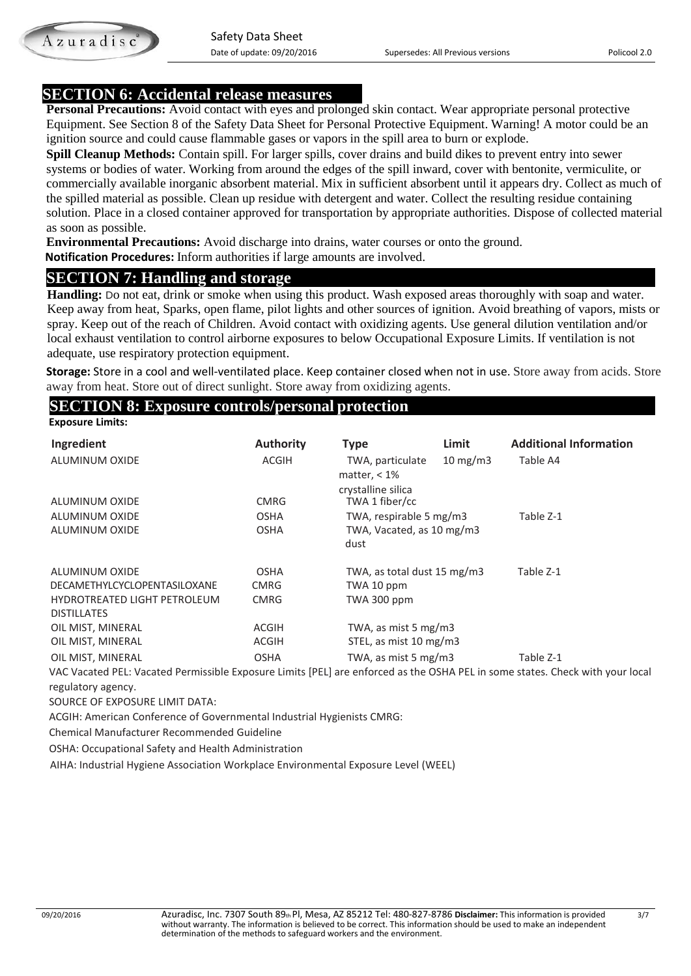# **SECTION 6: Accidental release measures**

**Personal Precautions:** Avoid contact with eyes and prolonged skin contact. Wear appropriate personal protective Equipment. See Section 8 of the Safety Data Sheet for Personal Protective Equipment. Warning! A motor could be an ignition source and could cause flammable gases or vapors in the spill area to burn or explode.

**Spill Cleanup Methods:** Contain spill. For larger spills, cover drains and build dikes to prevent entry into sewer systems or bodies of water. Working from around the edges of the spill inward, cover with bentonite, vermiculite, or commercially available inorganic absorbent material. Mix in sufficient absorbent until it appears dry. Collect as much of the spilled material as possible. Clean up residue with detergent and water. Collect the resulting residue containing solution. Place in a closed container approved for transportation by appropriate authorities. Dispose of collected material as soon as possible.

**Environmental Precautions:** Avoid discharge into drains, water courses or onto the ground.

 **Notification Procedures:** Inform authorities if large amounts are involved.

**SECTION 7: Handling and storage**<br>**Handling:** Do not eat, drink or smoke when using this product. Wash exposed areas thoroughly with soap and water. Keep away from heat, Sparks, open flame, pilot lights and other sources of ignition. Avoid breathing of vapors, mists or spray. Keep out of the reach of Children. Avoid contact with oxidizing agents. Use general dilution ventilation and/or local exhaust ventilation to control airborne exposures to below Occupational Exposure Limits. If ventilation is not adequate, use respiratory protection equipment.

**Storage:** Store in a cool and well-ventilated place. Keep container closed when not in use. Store away from acids. Store away from heat. Store out of direct sunlight. Store away from oxidizing agents.

### **SECTION 8: Exposure controls/personal protection**

**Exposure Limits:**

Azuradisc

| Ingredient<br>ALUMINUM OXIDE                                                                                                                                                                                                                                                                                                                                                                                                                                         | <b>Authority</b><br><b>ACGIH</b> | <b>Type</b><br>TWA, particulate<br>matter, $< 1\%$   | Limit<br>$10 \text{ mg/m}$ | <b>Additional Information</b><br>Table A4 |
|----------------------------------------------------------------------------------------------------------------------------------------------------------------------------------------------------------------------------------------------------------------------------------------------------------------------------------------------------------------------------------------------------------------------------------------------------------------------|----------------------------------|------------------------------------------------------|----------------------------|-------------------------------------------|
| ALUMINUM OXIDE                                                                                                                                                                                                                                                                                                                                                                                                                                                       | <b>CMRG</b>                      | crystalline silica<br>TWA 1 fiber/cc                 |                            |                                           |
| ALUMINUM OXIDE<br>ALUMINUM OXIDE                                                                                                                                                                                                                                                                                                                                                                                                                                     | <b>OSHA</b><br><b>OSHA</b>       | TWA, respirable 5 mg/m3<br>TWA, Vacated, as 10 mg/m3 |                            | Table Z-1                                 |
|                                                                                                                                                                                                                                                                                                                                                                                                                                                                      |                                  | dust                                                 |                            |                                           |
| ALUMINUM OXIDE                                                                                                                                                                                                                                                                                                                                                                                                                                                       | <b>OSHA</b>                      | TWA, as total dust 15 mg/m3                          |                            | Table Z-1                                 |
| <b>DECAMETHYLCYCLOPENTASILOXANE</b>                                                                                                                                                                                                                                                                                                                                                                                                                                  | <b>CMRG</b>                      | TWA 10 ppm                                           |                            |                                           |
| <b>HYDROTREATED LIGHT PETROLEUM</b><br><b>DISTILLATES</b>                                                                                                                                                                                                                                                                                                                                                                                                            | <b>CMRG</b>                      | TWA 300 ppm                                          |                            |                                           |
| OIL MIST, MINERAL                                                                                                                                                                                                                                                                                                                                                                                                                                                    | ACGIH                            | TWA, as mist 5 mg/m3                                 |                            |                                           |
| OIL MIST, MINERAL                                                                                                                                                                                                                                                                                                                                                                                                                                                    | ACGIH                            | STEL, as mist 10 mg/m3                               |                            |                                           |
| OIL MIST, MINERAL<br>$\mathcal{L}(\mathcal{L}(\mathcal{L}(\mathcal{L}))_{\mathcal{L}}$ , $\mathcal{L}(\mathcal{L}(\mathcal{L}))_{\mathcal{L}}$ , $\mathcal{L}(\mathcal{L}(\mathcal{L}))_{\mathcal{L}}$ , $\mathcal{L}(\mathcal{L}(\mathcal{L}(\mathcal{L}(\mathcal{L}(\mathcal{L}(\mathcal{L}(\mathcal{L}(\mathcal{L}(\mathcal{L}(\mathcal{L}(\mathcal{L}(\mathcal{L}(\mathcal{L}(\mathcal{L}(\mathcal{L}(\mathcal{L}(\mathcal{L}(\mathcal{L}(\mathcal{L}(\mathcal{$ | <b>OSHA</b>                      | TWA, as mist 5 mg/m3                                 |                            | Table Z-1                                 |

 VAC Vacated PEL: Vacated Permissible Exposure Limits [PEL] are enforced as the OSHA PEL in some states. Check with your local regulatory agency.

SOURCE OF EXPOSURE LIMIT DATA:

ACGIH: American Conference of Governmental Industrial Hygienists CMRG:

Chemical Manufacturer Recommended Guideline

OSHA: Occupational Safety and Health Administration

AIHA: Industrial Hygiene Association Workplace Environmental Exposure Level (WEEL)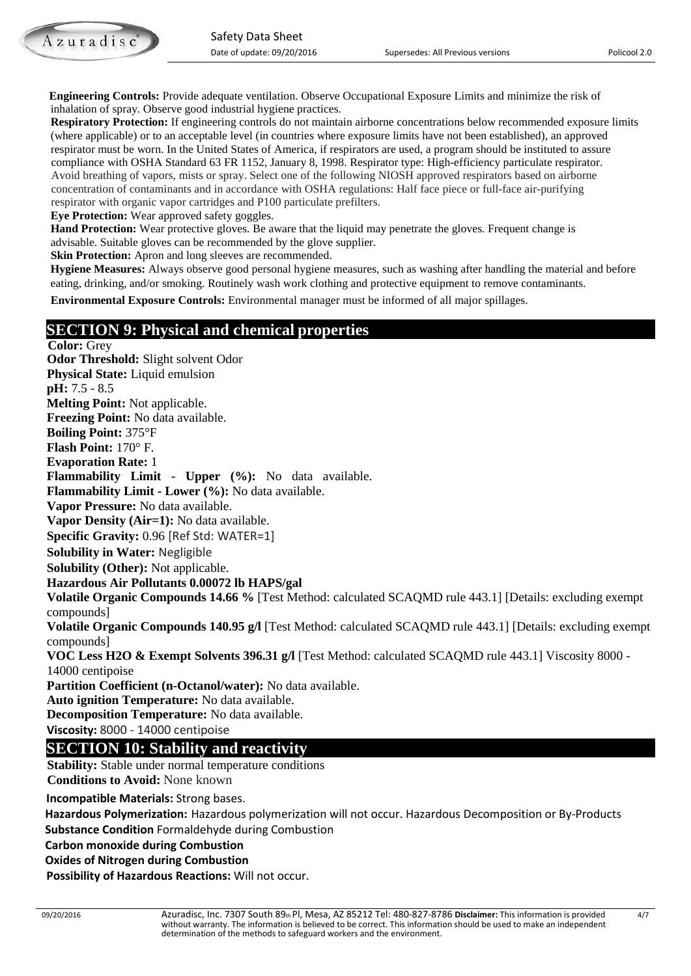**Engineering Controls:** Provide adequate ventilation. Observe Occupational Exposure Limits and minimize the risk of inhalation of spray. Observe good industrial hygiene practices.

 **Respiratory Protection:** If engineering controls do not maintain airborne concentrations below recommended exposure limits (where applicable) or to an acceptable level (in countries where exposure limits have not been established), an approved respirator must be worn. In the United States of America, if respirators are used, a program should be instituted to assure compliance with OSHA Standard 63 FR 1152, January 8, 1998. Respirator type: High-efficiency particulate respirator. Avoid breathing of vapors, mists or spray. Select one of the following NIOSH approved respirators based on airborne concentration of contaminants and in accordance with OSHA regulations: Half face piece or full-face air-purifying respirator with organic vapor cartridges and P100 particulate prefilters.

 **Eye Protection:** Wear approved safety goggles.

 **Hand Protection:** Wear protective gloves. Be aware that the liquid may penetrate the gloves. Frequent change is advisable. Suitable gloves can be recommended by the glove supplier.

**Skin Protection:** Apron and long sleeves are recommended.

 **Hygiene Measures:** Always observe good personal hygiene measures, such as washing after handling the material and before eating, drinking, and/or smoking. Routinely wash work clothing and protective equipment to remove contaminants.

 **Environmental Exposure Controls:** Environmental manager must be informed of all major spillages.

### **SECTION 9: Physical and chemical properties**

**Color:** Grey **Odor Threshold:** Slight solvent Odor **Physical State:** Liquid emulsion **pH:** 7.5 - 8.5 **Melting Point:** Not applicable. **Freezing Point:** No data available. **Boiling Point:** 375°F **Flash Point:** 170° F. **Evaporation Rate:** 1 **Flammability Limit - Upper (%):** No data available. **Flammability Limit - Lower (%):** No data available. **Vapor Pressure:** No data available. **Vapor Density (Air=1):** No data available. **Specific Gravity:** 0.96 [Ref Std: WATER=1] **Solubility in Water:** Negligible **Solubility (Other):** Not applicable. **Hazardous Air Pollutants 0.00072 lb HAPS/gal Volatile Organic Compounds 14.66 %** [Test Method: calculated SCAQMD rule 443.1] [Details: excluding exempt compounds] **Volatile Organic Compounds 140.95 g/l** [Test Method: calculated SCAQMD rule 443.1] [Details: excluding exempt compounds] **VOC Less H2O & Exempt Solvents 396.31 g/l** [Test Method: calculated SCAQMD rule 443.1] Viscosity 8000 - 14000 centipoise **Partition Coefficient (n-Octanol/water):** No data available. **Auto ignition Temperature:** No data available. **Decomposition Temperature:** No data available. **Viscosity:** 8000 - 14000 centipoise **SECTION 10: Stability and reactivity**<br>**Stability:** Stable under normal temperature conditions  **Conditions to Avoid:** None known

**Incompatible Materials:** Strong bases.

 **Hazardous Polymerization:** Hazardous polymerization will not occur. Hazardous Decomposition or By-Products  **Substance Condition** Formaldehyde during Combustion

 **Carbon monoxide during Combustion** 

 **Oxides of Nitrogen during Combustion**

**Possibility of Hazardous Reactions:** Will not occur.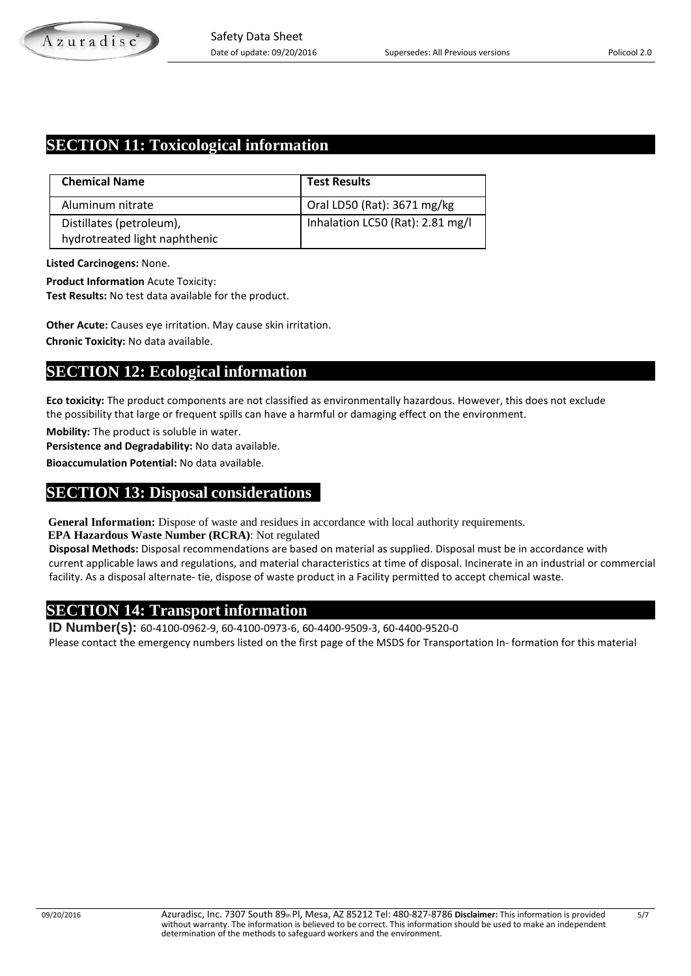# **SECTION 11: Toxicological information**

| <b>Chemical Name</b>          | <b>Test Results</b>              |
|-------------------------------|----------------------------------|
| Aluminum nitrate              | Oral LD50 (Rat): 3671 mg/kg      |
| Distillates (petroleum),      | Inhalation LC50 (Rat): 2.81 mg/l |
| hydrotreated light naphthenic |                                  |

**Listed Carcinogens:** None.

**Product Information** Acute Toxicity:

**Test Results:** No test data available for the product.

**Other Acute:** Causes eye irritation. May cause skin irritation.

**Chronic Toxicity:** No data available.

# **SECTION 12: Ecological information**

**Eco toxicity:** The product components are not classified as environmentally hazardous. However, this does not exclude the possibility that large or frequent spills can have a harmful or damaging effect on the environment.

**Mobility:** The product is soluble in water.

**Persistence and Degradability:** No data available.

**Bioaccumulation Potential:** No data available.

#### **SECTION 13: Disposal considerations**

**General Information:** Dispose of waste and residues in accordance with local authority requirements.

**EPA Hazardous Waste Number (RCRA)**: Not regulated

 **Disposal Methods:** Disposal recommendations are based on material as supplied. Disposal must be in accordance with current applicable laws and regulations, and material characteristics at time of disposal. Incinerate in an industrial or commercial facility. As a disposal alternate- tie, dispose of waste product in a Facility permitted to accept chemical waste.

**SECTION 14: Transport information ID Number(s):** 60-4100-0962-9, 60-4100-0973-6, 60-4400-9509-3, 60-4400-9520-0 Please contact the emergency numbers listed on the first page of the MSDS for Transportation In- formation for this material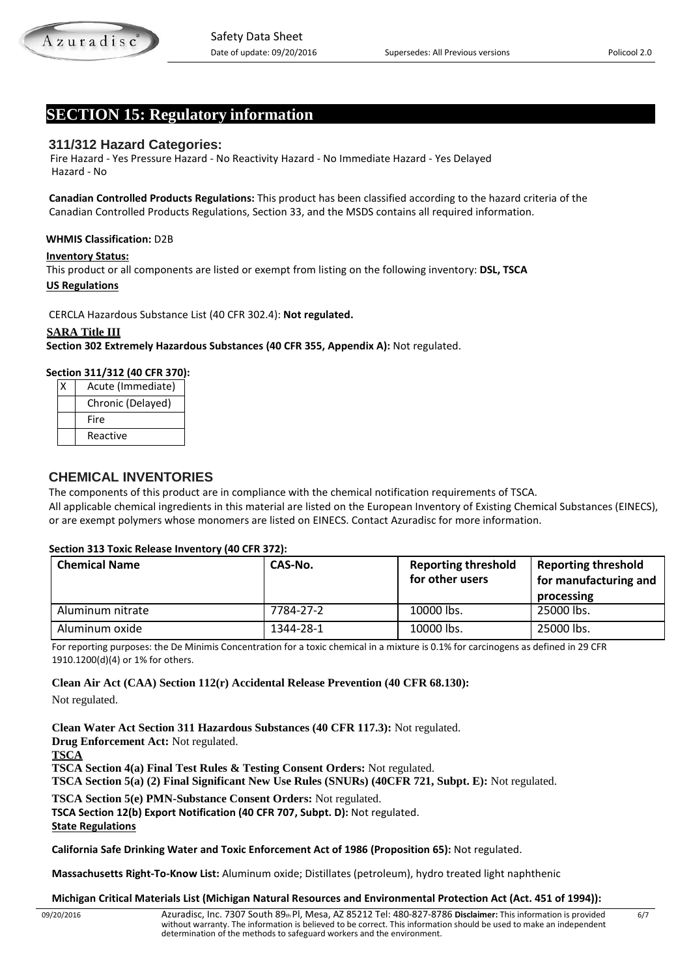# **SECTION 15: Regulatory information**

# **311/312 Hazard Categories:**

 Fire Hazard - Yes Pressure Hazard - No Reactivity Hazard - No Immediate Hazard - Yes Delayed Hazard - No

 **Canadian Controlled Products Regulations:** This product has been classified according to the hazard criteria of the Canadian Controlled Products Regulations, Section 33, and the MSDS contains all required information.

### **WHMIS Classification:** D2B

#### **Inventory Status:**

This product or all components are listed or exempt from listing on the following inventory: **DSL, TSCA US Regulations**

CERCLA Hazardous Substance List (40 CFR 302.4): **Not regulated.**

### **SARA Title III**

**Section 302 Extremely Hazardous Substances (40 CFR 355, Appendix A):** Not regulated.

#### **Section 311/312 (40 CFR 370):**

| Acute (Immediate) |
|-------------------|
| Chronic (Delayed) |
| Fire              |
| Reactive          |

#### **CHEMICAL INVENTORIES**

 The components of this product are in compliance with the chemical notification requirements of TSCA. All applicable chemical ingredients in this material are listed on the European Inventory of Existing Chemical Substances (EINECS), or are exempt polymers whose monomers are listed on EINECS. Contact Azuradisc for more information.

#### **Section 313 Toxic Release Inventory (40 CFR 372):**

| <b>Chemical Name</b> | CAS-No.   | <b>Reporting threshold</b><br>for other users | <b>Reporting threshold</b><br>for manufacturing and<br>processing |
|----------------------|-----------|-----------------------------------------------|-------------------------------------------------------------------|
| Aluminum nitrate     | 7784-27-2 | 10000 lbs.                                    | 25000 lbs.                                                        |
| Aluminum oxide       | 1344-28-1 | 10000 lbs.                                    | 25000 lbs.                                                        |

For reporting purposes: the De Minimis Concentration for a toxic chemical in a mixture is 0.1% for carcinogens as defined in 29 CFR 1910.1200(d)(4) or 1% for others.

**Clean Air Act (CAA) Section 112(r) Accidental Release Prevention (40 CFR 68.130):**

Not regulated.

**Clean Water Act Section 311 Hazardous Substances (40 CFR 117.3):** Not regulated.

**Drug Enforcement Act:** Not regulated.

#### **TSCA**

**TSCA Section 4(a) Final Test Rules & Testing Consent Orders:** Not regulated.

**TSCA Section 5(a) (2) Final Significant New Use Rules (SNURs) (40CFR 721, Subpt. E):** Not regulated.

**TSCA Section 5(e) PMN-Substance Consent Orders:** Not regulated.

**TSCA Section 12(b) Export Notification (40 CFR 707, Subpt. D):** Not regulated.

**State Regulations**

**California Safe Drinking Water and Toxic Enforcement Act of 1986 (Proposition 65):** Not regulated.

**Massachusetts Right-To-Know List:** Aluminum oxide; Distillates (petroleum), hydro treated light naphthenic

#### **Michigan Critical Materials List (Michigan Natural Resources and Environmental Protection Act (Act. 451 of 1994)):**